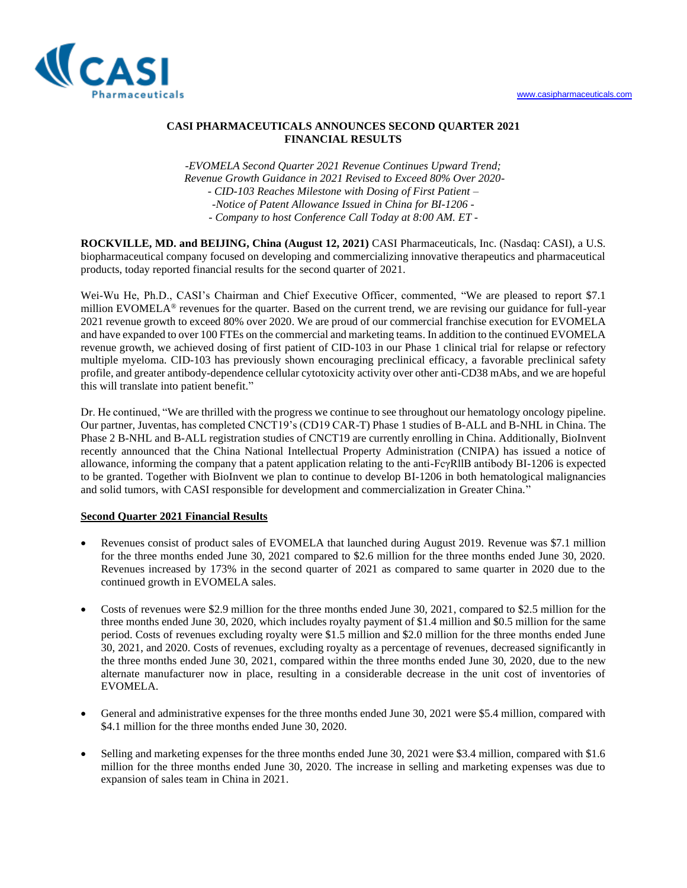

# **CASI PHARMACEUTICALS ANNOUNCES SECOND QUARTER 2021 FINANCIAL RESULTS**

*-EVOMELA Second Quarter 2021 Revenue Continues Upward Trend; Revenue Growth Guidance in 2021 Revised to Exceed 80% Over 2020- - CID-103 Reaches Milestone with Dosing of First Patient – -Notice of Patent Allowance Issued in China for BI-1206 - - Company to host Conference Call Today at 8:00 AM. ET -*

**ROCKVILLE, MD. and BEIJING, China (August 12, 2021)** CASI Pharmaceuticals, Inc. (Nasdaq: CASI), a U.S. biopharmaceutical company focused on developing and commercializing innovative therapeutics and pharmaceutical products, today reported financial results for the second quarter of 2021.

Wei-Wu He, Ph.D., CASI's Chairman and Chief Executive Officer, commented, "We are pleased to report \$7.1 million EVOMELA<sup>®</sup> revenues for the quarter. Based on the current trend, we are revising our guidance for full-year 2021 revenue growth to exceed 80% over 2020. We are proud of our commercial franchise execution for EVOMELA and have expanded to over 100 FTEs on the commercial and marketing teams. In addition to the continued EVOMELA revenue growth, we achieved dosing of first patient of CID-103 in our Phase 1 clinical trial for relapse or refectory multiple myeloma. CID-103 has previously shown encouraging preclinical efficacy, a favorable preclinical safety profile, and greater antibody-dependence cellular cytotoxicity activity over other anti-CD38 mAbs, and we are hopeful this will translate into patient benefit."

Dr. He continued, "We are thrilled with the progress we continue to see throughout our hematology oncology pipeline. Our partner, Juventas, has completed CNCT19's (CD19 CAR-T) Phase 1 studies of B-ALL and B-NHL in China. The Phase 2 B-NHL and B-ALL registration studies of CNCT19 are currently enrolling in China. Additionally, BioInvent recently announced that the China National Intellectual Property Administration (CNIPA) has issued a notice of allowance, informing the company that a patent application relating to the anti-FcγRllB antibody BI-1206 is expected to be granted. Together with BioInvent we plan to continue to develop BI-1206 in both hematological malignancies and solid tumors, with CASI responsible for development and commercialization in Greater China."

## **Second Quarter 2021 Financial Results**

- Revenues consist of product sales of EVOMELA that launched during August 2019. Revenue was \$7.1 million for the three months ended June 30, 2021 compared to \$2.6 million for the three months ended June 30, 2020. Revenues increased by 173% in the second quarter of 2021 as compared to same quarter in 2020 due to the continued growth in EVOMELA sales.
- Costs of revenues were \$2.9 million for the three months ended June 30, 2021, compared to \$2.5 million for the three months ended June 30, 2020, which includes royalty payment of \$1.4 million and \$0.5 million for the same period. Costs of revenues excluding royalty were \$1.5 million and \$2.0 million for the three months ended June 30, 2021, and 2020. Costs of revenues, excluding royalty as a percentage of revenues, decreased significantly in the three months ended June 30, 2021, compared within the three months ended June 30, 2020, due to the new alternate manufacturer now in place, resulting in a considerable decrease in the unit cost of inventories of EVOMELA.
- General and administrative expenses for the three months ended June 30, 2021 were \$5.4 million, compared with \$4.1 million for the three months ended June 30, 2020.
- Selling and marketing expenses for the three months ended June 30, 2021 were \$3.4 million, compared with \$1.6 million for the three months ended June 30, 2020. The increase in selling and marketing expenses was due to expansion of sales team in China in 2021.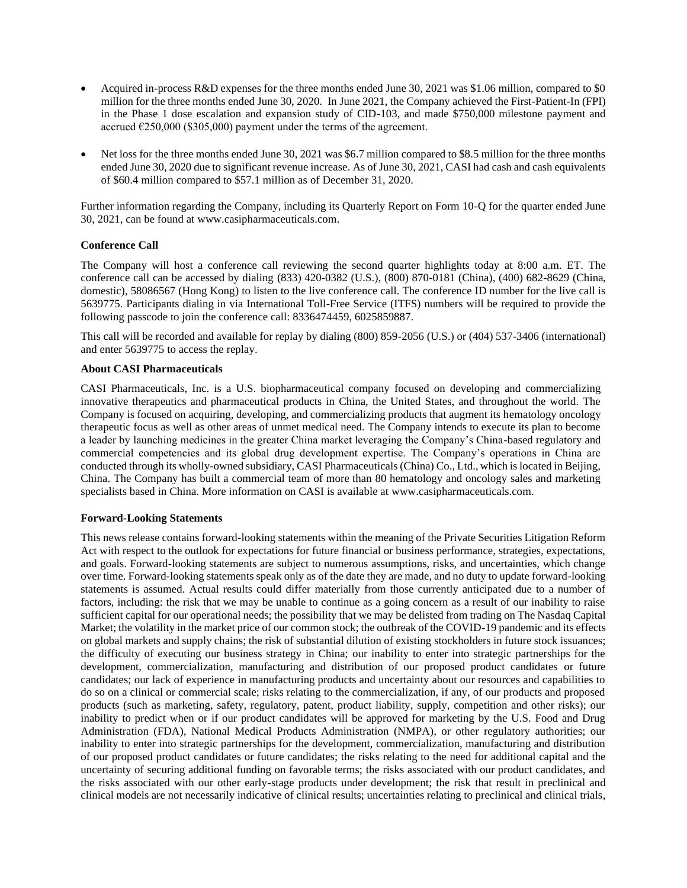- Acquired in-process R&D expenses for the three months ended June 30, 2021 was \$1.06 million, compared to \$0 million for the three months ended June 30, 2020. In June 2021, the Company achieved the First-Patient-In (FPI) in the Phase 1 dose escalation and expansion study of CID-103, and made \$750,000 milestone payment and accrued  $\epsilon$ 250,000 (\$305,000) payment under the terms of the agreement.
- Net loss for the three months ended June 30, 2021 was \$6.7 million compared to \$8.5 million for the three months ended June 30, 2020 due to significant revenue increase. As of June 30, 2021, CASI had cash and cash equivalents of \$60.4 million compared to \$57.1 million as of December 31, 2020.

Further information regarding the Company, including its Quarterly Report on Form 10-Q for the quarter ended June 30, 2021, can be found at www.casipharmaceuticals.com.

### **Conference Call**

The Company will host a conference call reviewing the second quarter highlights today at 8:00 a.m. ET. The conference call can be accessed by dialing (833) 420-0382 (U.S.), (800) 870-0181 (China), (400) 682-8629 (China, domestic), 58086567 (Hong Kong) to listen to the live conference call. The conference ID number for the live call is 5639775. Participants dialing in via International Toll-Free Service (ITFS) numbers will be required to provide the following passcode to join the conference call: 8336474459, 6025859887.

This call will be recorded and available for replay by dialing (800) 859-2056 (U.S.) or (404) 537-3406 (international) and enter 5639775 to access the replay.

#### **About CASI Pharmaceuticals**

CASI Pharmaceuticals, Inc. is a U.S. biopharmaceutical company focused on developing and commercializing innovative therapeutics and pharmaceutical products in China, the United States, and throughout the world. The Company is focused on acquiring, developing, and commercializing products that augment its hematology oncology therapeutic focus as well as other areas of unmet medical need. The Company intends to execute its plan to become a leader by launching medicines in the greater China market leveraging the Company's China-based regulatory and commercial competencies and its global drug development expertise. The Company's operations in China are conducted through its wholly-owned subsidiary, CASI Pharmaceuticals (China) Co., Ltd., which is located in Beijing, China. The Company has built a commercial team of more than 80 hematology and oncology sales and marketing specialists based in China. More information on CASI is available at [www.casipharmaceuticals.com.](http://www.casipharmaceuticals.com/)

#### **Forward-Looking Statements**

This news release contains forward-looking statements within the meaning of the Private Securities Litigation Reform Act with respect to the outlook for expectations for future financial or business performance, strategies, expectations, and goals. Forward-looking statements are subject to numerous assumptions, risks, and uncertainties, which change over time. Forward-looking statements speak only as of the date they are made, and no duty to update forward-looking statements is assumed. Actual results could differ materially from those currently anticipated due to a number of factors, including: the risk that we may be unable to continue as a going concern as a result of our inability to raise sufficient capital for our operational needs; the possibility that we may be delisted from trading on The Nasdaq Capital Market; the volatility in the market price of our common stock; the outbreak of the COVID-19 pandemic and its effects on global markets and supply chains; the risk of substantial dilution of existing stockholders in future stock issuances; the difficulty of executing our business strategy in China; our inability to enter into strategic partnerships for the development, commercialization, manufacturing and distribution of our proposed product candidates or future candidates; our lack of experience in manufacturing products and uncertainty about our resources and capabilities to do so on a clinical or commercial scale; risks relating to the commercialization, if any, of our products and proposed products (such as marketing, safety, regulatory, patent, product liability, supply, competition and other risks); our inability to predict when or if our product candidates will be approved for marketing by the U.S. Food and Drug Administration (FDA), National Medical Products Administration (NMPA), or other regulatory authorities; our inability to enter into strategic partnerships for the development, commercialization, manufacturing and distribution of our proposed product candidates or future candidates; the risks relating to the need for additional capital and the uncertainty of securing additional funding on favorable terms; the risks associated with our product candidates, and the risks associated with our other early-stage products under development; the risk that result in preclinical and clinical models are not necessarily indicative of clinical results; uncertainties relating to preclinical and clinical trials,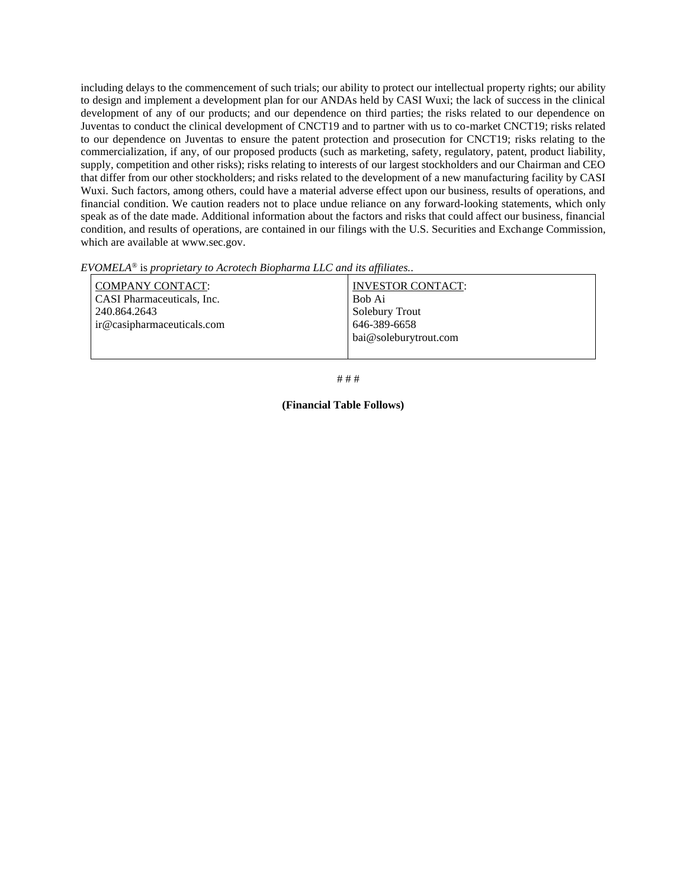including delays to the commencement of such trials; our ability to protect our intellectual property rights; our ability to design and implement a development plan for our ANDAs held by CASI Wuxi; the lack of success in the clinical development of any of our products; and our dependence on third parties; the risks related to our dependence on Juventas to conduct the clinical development of CNCT19 and to partner with us to co-market CNCT19; risks related to our dependence on Juventas to ensure the patent protection and prosecution for CNCT19; risks relating to the commercialization, if any, of our proposed products (such as marketing, safety, regulatory, patent, product liability, supply, competition and other risks); risks relating to interests of our largest stockholders and our Chairman and CEO that differ from our other stockholders; and risks related to the development of a new manufacturing facility by CASI Wuxi. Such factors, among others, could have a material adverse effect upon our business, results of operations, and financial condition. We caution readers not to place undue reliance on any forward-looking statements, which only speak as of the date made. Additional information about the factors and risks that could affect our business, financial condition, and results of operations, are contained in our filings with the U.S. Securities and Exchange Commission, which are available at [www.sec.gov.](http://www.sec.gov/)

| EVOMELA® is proprietary to Acrotech Biopharma LLC and its affiliates |  |  |  |  |  |
|----------------------------------------------------------------------|--|--|--|--|--|
|----------------------------------------------------------------------|--|--|--|--|--|

| <b>COMPANY CONTACT:</b>    | <b>INVESTOR CONTACT:</b> |
|----------------------------|--------------------------|
| CASI Pharmaceuticals, Inc. | Bob Ai                   |
| 240.864.2643               | <b>Solebury Trout</b>    |
| ir@casipharmaceuticals.com | 646-389-6658             |
|                            | bai@soleburytrout.com    |
|                            |                          |

# # #

**(Financial Table Follows)**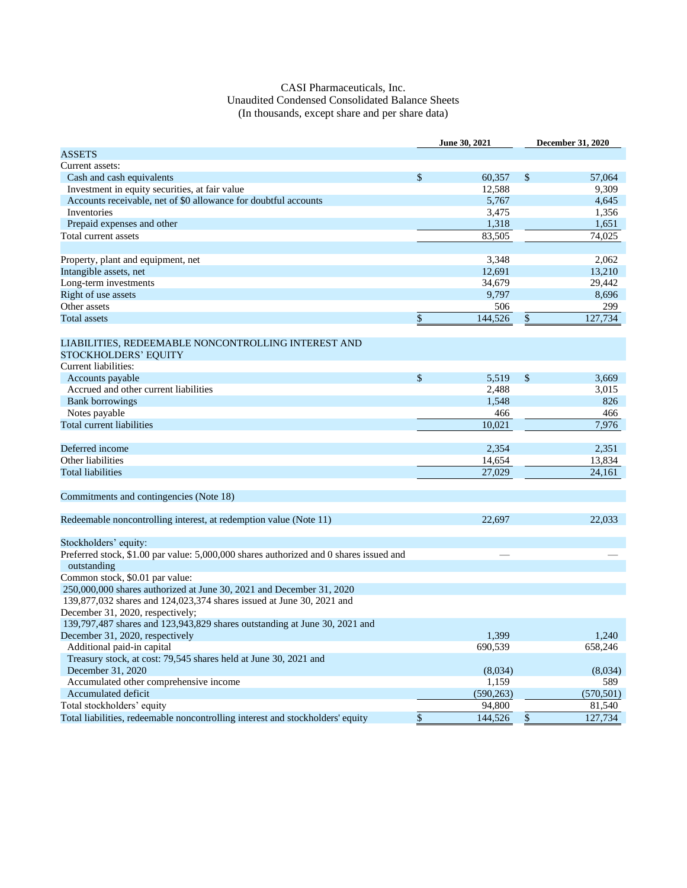## CASI Pharmaceuticals, Inc. Unaudited Condensed Consolidated Balance Sheets (In thousands, except share and per share data)

| <b>ASSETS</b><br>Current assets:<br>\$<br>Cash and cash equivalents<br>\$<br>60,357<br>57,064<br>Investment in equity securities, at fair value<br>9,309<br>12,588<br>Accounts receivable, net of \$0 allowance for doubtful accounts<br>5,767<br>4,645<br>Inventories<br>3,475<br>1,356<br>1,651<br>Prepaid expenses and other<br>1,318<br>Total current assets<br>83,505<br>74,025<br>Property, plant and equipment, net<br>3,348<br>2,062<br>Intangible assets, net<br>12,691<br>13,210<br>Long-term investments<br>34,679<br>29,442<br>Right of use assets<br>9,797<br>8,696<br>Other assets<br>299<br>506<br>\$<br>144,526<br>\$<br><b>Total assets</b><br>127,734<br>LIABILITIES, REDEEMABLE NONCONTROLLING INTEREST AND<br><b>STOCKHOLDERS' EQUITY</b><br>Current liabilities:<br>$\mathbb{S}$<br>\$<br>5,519<br>3,669<br>Accounts payable<br>Accrued and other current liabilities<br>2,488<br>3,015<br>1,548<br><b>Bank borrowings</b><br>826<br>Notes payable<br>466<br>466<br>Total current liabilities<br>10,021<br>7,976<br>Deferred income<br>2,354<br>2,351<br>Other liabilities<br>14,654<br>13,834<br><b>Total liabilities</b><br>27,029<br>24,161<br>Commitments and contingencies (Note 18)<br>Redeemable noncontrolling interest, at redemption value (Note 11)<br>22,697<br>22,033<br>Stockholders' equity:<br>Preferred stock, \$1.00 par value: 5,000,000 shares authorized and 0 shares issued and<br>outstanding<br>Common stock, \$0.01 par value:<br>250,000,000 shares authorized at June 30, 2021 and December 31, 2020<br>139,877,032 shares and 124,023,374 shares issued at June 30, 2021 and<br>December 31, 2020, respectively; |                                                                            | June 30, 2021 | <b>December 31, 2020</b> |
|-------------------------------------------------------------------------------------------------------------------------------------------------------------------------------------------------------------------------------------------------------------------------------------------------------------------------------------------------------------------------------------------------------------------------------------------------------------------------------------------------------------------------------------------------------------------------------------------------------------------------------------------------------------------------------------------------------------------------------------------------------------------------------------------------------------------------------------------------------------------------------------------------------------------------------------------------------------------------------------------------------------------------------------------------------------------------------------------------------------------------------------------------------------------------------------------------------------------------------------------------------------------------------------------------------------------------------------------------------------------------------------------------------------------------------------------------------------------------------------------------------------------------------------------------------------------------------------------------------------------------------------------------------------------|----------------------------------------------------------------------------|---------------|--------------------------|
|                                                                                                                                                                                                                                                                                                                                                                                                                                                                                                                                                                                                                                                                                                                                                                                                                                                                                                                                                                                                                                                                                                                                                                                                                                                                                                                                                                                                                                                                                                                                                                                                                                                                   |                                                                            |               |                          |
|                                                                                                                                                                                                                                                                                                                                                                                                                                                                                                                                                                                                                                                                                                                                                                                                                                                                                                                                                                                                                                                                                                                                                                                                                                                                                                                                                                                                                                                                                                                                                                                                                                                                   |                                                                            |               |                          |
|                                                                                                                                                                                                                                                                                                                                                                                                                                                                                                                                                                                                                                                                                                                                                                                                                                                                                                                                                                                                                                                                                                                                                                                                                                                                                                                                                                                                                                                                                                                                                                                                                                                                   |                                                                            |               |                          |
|                                                                                                                                                                                                                                                                                                                                                                                                                                                                                                                                                                                                                                                                                                                                                                                                                                                                                                                                                                                                                                                                                                                                                                                                                                                                                                                                                                                                                                                                                                                                                                                                                                                                   |                                                                            |               |                          |
|                                                                                                                                                                                                                                                                                                                                                                                                                                                                                                                                                                                                                                                                                                                                                                                                                                                                                                                                                                                                                                                                                                                                                                                                                                                                                                                                                                                                                                                                                                                                                                                                                                                                   |                                                                            |               |                          |
|                                                                                                                                                                                                                                                                                                                                                                                                                                                                                                                                                                                                                                                                                                                                                                                                                                                                                                                                                                                                                                                                                                                                                                                                                                                                                                                                                                                                                                                                                                                                                                                                                                                                   |                                                                            |               |                          |
|                                                                                                                                                                                                                                                                                                                                                                                                                                                                                                                                                                                                                                                                                                                                                                                                                                                                                                                                                                                                                                                                                                                                                                                                                                                                                                                                                                                                                                                                                                                                                                                                                                                                   |                                                                            |               |                          |
|                                                                                                                                                                                                                                                                                                                                                                                                                                                                                                                                                                                                                                                                                                                                                                                                                                                                                                                                                                                                                                                                                                                                                                                                                                                                                                                                                                                                                                                                                                                                                                                                                                                                   |                                                                            |               |                          |
|                                                                                                                                                                                                                                                                                                                                                                                                                                                                                                                                                                                                                                                                                                                                                                                                                                                                                                                                                                                                                                                                                                                                                                                                                                                                                                                                                                                                                                                                                                                                                                                                                                                                   |                                                                            |               |                          |
|                                                                                                                                                                                                                                                                                                                                                                                                                                                                                                                                                                                                                                                                                                                                                                                                                                                                                                                                                                                                                                                                                                                                                                                                                                                                                                                                                                                                                                                                                                                                                                                                                                                                   |                                                                            |               |                          |
|                                                                                                                                                                                                                                                                                                                                                                                                                                                                                                                                                                                                                                                                                                                                                                                                                                                                                                                                                                                                                                                                                                                                                                                                                                                                                                                                                                                                                                                                                                                                                                                                                                                                   |                                                                            |               |                          |
|                                                                                                                                                                                                                                                                                                                                                                                                                                                                                                                                                                                                                                                                                                                                                                                                                                                                                                                                                                                                                                                                                                                                                                                                                                                                                                                                                                                                                                                                                                                                                                                                                                                                   |                                                                            |               |                          |
|                                                                                                                                                                                                                                                                                                                                                                                                                                                                                                                                                                                                                                                                                                                                                                                                                                                                                                                                                                                                                                                                                                                                                                                                                                                                                                                                                                                                                                                                                                                                                                                                                                                                   |                                                                            |               |                          |
|                                                                                                                                                                                                                                                                                                                                                                                                                                                                                                                                                                                                                                                                                                                                                                                                                                                                                                                                                                                                                                                                                                                                                                                                                                                                                                                                                                                                                                                                                                                                                                                                                                                                   |                                                                            |               |                          |
|                                                                                                                                                                                                                                                                                                                                                                                                                                                                                                                                                                                                                                                                                                                                                                                                                                                                                                                                                                                                                                                                                                                                                                                                                                                                                                                                                                                                                                                                                                                                                                                                                                                                   |                                                                            |               |                          |
|                                                                                                                                                                                                                                                                                                                                                                                                                                                                                                                                                                                                                                                                                                                                                                                                                                                                                                                                                                                                                                                                                                                                                                                                                                                                                                                                                                                                                                                                                                                                                                                                                                                                   |                                                                            |               |                          |
|                                                                                                                                                                                                                                                                                                                                                                                                                                                                                                                                                                                                                                                                                                                                                                                                                                                                                                                                                                                                                                                                                                                                                                                                                                                                                                                                                                                                                                                                                                                                                                                                                                                                   |                                                                            |               |                          |
|                                                                                                                                                                                                                                                                                                                                                                                                                                                                                                                                                                                                                                                                                                                                                                                                                                                                                                                                                                                                                                                                                                                                                                                                                                                                                                                                                                                                                                                                                                                                                                                                                                                                   |                                                                            |               |                          |
|                                                                                                                                                                                                                                                                                                                                                                                                                                                                                                                                                                                                                                                                                                                                                                                                                                                                                                                                                                                                                                                                                                                                                                                                                                                                                                                                                                                                                                                                                                                                                                                                                                                                   |                                                                            |               |                          |
|                                                                                                                                                                                                                                                                                                                                                                                                                                                                                                                                                                                                                                                                                                                                                                                                                                                                                                                                                                                                                                                                                                                                                                                                                                                                                                                                                                                                                                                                                                                                                                                                                                                                   |                                                                            |               |                          |
|                                                                                                                                                                                                                                                                                                                                                                                                                                                                                                                                                                                                                                                                                                                                                                                                                                                                                                                                                                                                                                                                                                                                                                                                                                                                                                                                                                                                                                                                                                                                                                                                                                                                   |                                                                            |               |                          |
|                                                                                                                                                                                                                                                                                                                                                                                                                                                                                                                                                                                                                                                                                                                                                                                                                                                                                                                                                                                                                                                                                                                                                                                                                                                                                                                                                                                                                                                                                                                                                                                                                                                                   |                                                                            |               |                          |
|                                                                                                                                                                                                                                                                                                                                                                                                                                                                                                                                                                                                                                                                                                                                                                                                                                                                                                                                                                                                                                                                                                                                                                                                                                                                                                                                                                                                                                                                                                                                                                                                                                                                   |                                                                            |               |                          |
|                                                                                                                                                                                                                                                                                                                                                                                                                                                                                                                                                                                                                                                                                                                                                                                                                                                                                                                                                                                                                                                                                                                                                                                                                                                                                                                                                                                                                                                                                                                                                                                                                                                                   |                                                                            |               |                          |
|                                                                                                                                                                                                                                                                                                                                                                                                                                                                                                                                                                                                                                                                                                                                                                                                                                                                                                                                                                                                                                                                                                                                                                                                                                                                                                                                                                                                                                                                                                                                                                                                                                                                   |                                                                            |               |                          |
|                                                                                                                                                                                                                                                                                                                                                                                                                                                                                                                                                                                                                                                                                                                                                                                                                                                                                                                                                                                                                                                                                                                                                                                                                                                                                                                                                                                                                                                                                                                                                                                                                                                                   |                                                                            |               |                          |
|                                                                                                                                                                                                                                                                                                                                                                                                                                                                                                                                                                                                                                                                                                                                                                                                                                                                                                                                                                                                                                                                                                                                                                                                                                                                                                                                                                                                                                                                                                                                                                                                                                                                   |                                                                            |               |                          |
|                                                                                                                                                                                                                                                                                                                                                                                                                                                                                                                                                                                                                                                                                                                                                                                                                                                                                                                                                                                                                                                                                                                                                                                                                                                                                                                                                                                                                                                                                                                                                                                                                                                                   |                                                                            |               |                          |
|                                                                                                                                                                                                                                                                                                                                                                                                                                                                                                                                                                                                                                                                                                                                                                                                                                                                                                                                                                                                                                                                                                                                                                                                                                                                                                                                                                                                                                                                                                                                                                                                                                                                   |                                                                            |               |                          |
|                                                                                                                                                                                                                                                                                                                                                                                                                                                                                                                                                                                                                                                                                                                                                                                                                                                                                                                                                                                                                                                                                                                                                                                                                                                                                                                                                                                                                                                                                                                                                                                                                                                                   |                                                                            |               |                          |
|                                                                                                                                                                                                                                                                                                                                                                                                                                                                                                                                                                                                                                                                                                                                                                                                                                                                                                                                                                                                                                                                                                                                                                                                                                                                                                                                                                                                                                                                                                                                                                                                                                                                   |                                                                            |               |                          |
|                                                                                                                                                                                                                                                                                                                                                                                                                                                                                                                                                                                                                                                                                                                                                                                                                                                                                                                                                                                                                                                                                                                                                                                                                                                                                                                                                                                                                                                                                                                                                                                                                                                                   |                                                                            |               |                          |
|                                                                                                                                                                                                                                                                                                                                                                                                                                                                                                                                                                                                                                                                                                                                                                                                                                                                                                                                                                                                                                                                                                                                                                                                                                                                                                                                                                                                                                                                                                                                                                                                                                                                   |                                                                            |               |                          |
|                                                                                                                                                                                                                                                                                                                                                                                                                                                                                                                                                                                                                                                                                                                                                                                                                                                                                                                                                                                                                                                                                                                                                                                                                                                                                                                                                                                                                                                                                                                                                                                                                                                                   |                                                                            |               |                          |
|                                                                                                                                                                                                                                                                                                                                                                                                                                                                                                                                                                                                                                                                                                                                                                                                                                                                                                                                                                                                                                                                                                                                                                                                                                                                                                                                                                                                                                                                                                                                                                                                                                                                   |                                                                            |               |                          |
|                                                                                                                                                                                                                                                                                                                                                                                                                                                                                                                                                                                                                                                                                                                                                                                                                                                                                                                                                                                                                                                                                                                                                                                                                                                                                                                                                                                                                                                                                                                                                                                                                                                                   | 139,797,487 shares and 123,943,829 shares outstanding at June 30, 2021 and |               |                          |
| December 31, 2020, respectively<br>1,399<br>1,240                                                                                                                                                                                                                                                                                                                                                                                                                                                                                                                                                                                                                                                                                                                                                                                                                                                                                                                                                                                                                                                                                                                                                                                                                                                                                                                                                                                                                                                                                                                                                                                                                 |                                                                            |               |                          |
| 690,539<br>658,246<br>Additional paid-in capital                                                                                                                                                                                                                                                                                                                                                                                                                                                                                                                                                                                                                                                                                                                                                                                                                                                                                                                                                                                                                                                                                                                                                                                                                                                                                                                                                                                                                                                                                                                                                                                                                  |                                                                            |               |                          |
| Treasury stock, at cost: 79,545 shares held at June 30, 2021 and                                                                                                                                                                                                                                                                                                                                                                                                                                                                                                                                                                                                                                                                                                                                                                                                                                                                                                                                                                                                                                                                                                                                                                                                                                                                                                                                                                                                                                                                                                                                                                                                  |                                                                            |               |                          |
| December 31, 2020<br>(8,034)<br>(8,034)                                                                                                                                                                                                                                                                                                                                                                                                                                                                                                                                                                                                                                                                                                                                                                                                                                                                                                                                                                                                                                                                                                                                                                                                                                                                                                                                                                                                                                                                                                                                                                                                                           |                                                                            |               |                          |
| Accumulated other comprehensive income<br>1,159<br>589                                                                                                                                                                                                                                                                                                                                                                                                                                                                                                                                                                                                                                                                                                                                                                                                                                                                                                                                                                                                                                                                                                                                                                                                                                                                                                                                                                                                                                                                                                                                                                                                            |                                                                            |               |                          |
| Accumulated deficit<br>(570, 501)<br>(590, 263)                                                                                                                                                                                                                                                                                                                                                                                                                                                                                                                                                                                                                                                                                                                                                                                                                                                                                                                                                                                                                                                                                                                                                                                                                                                                                                                                                                                                                                                                                                                                                                                                                   |                                                                            |               |                          |
| 94,800<br>Total stockholders' equity<br>81,540                                                                                                                                                                                                                                                                                                                                                                                                                                                                                                                                                                                                                                                                                                                                                                                                                                                                                                                                                                                                                                                                                                                                                                                                                                                                                                                                                                                                                                                                                                                                                                                                                    |                                                                            |               |                          |
| \$<br>144,526<br>\$<br>Total liabilities, redeemable noncontrolling interest and stockholders' equity<br>127,734                                                                                                                                                                                                                                                                                                                                                                                                                                                                                                                                                                                                                                                                                                                                                                                                                                                                                                                                                                                                                                                                                                                                                                                                                                                                                                                                                                                                                                                                                                                                                  |                                                                            |               |                          |